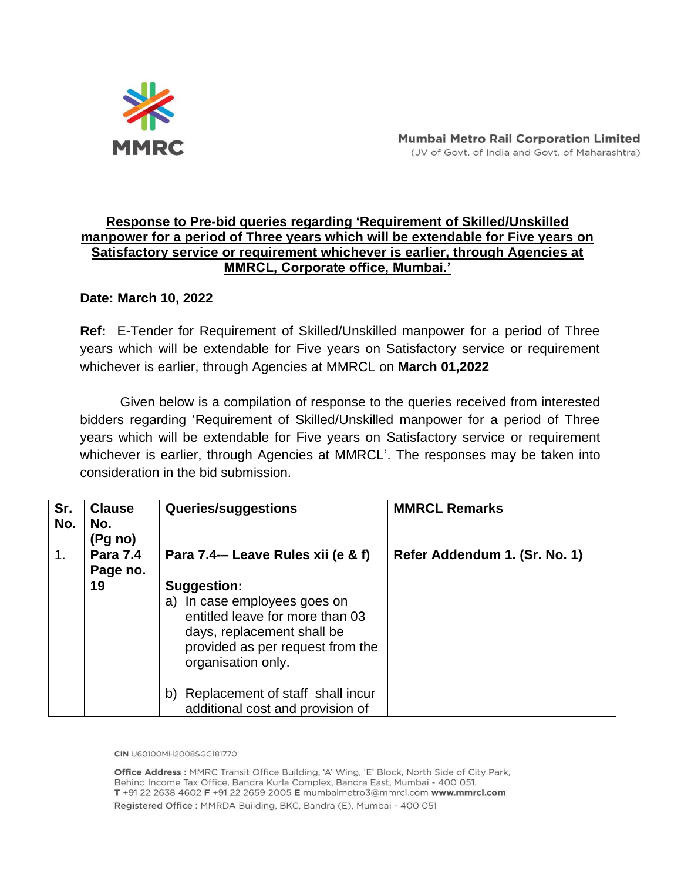

## **Response to Pre-bid queries regarding 'Requirement of Skilled/Unskilled manpower for a period of Three years which will be extendable for Five years on Satisfactory service or requirement whichever is earlier, through Agencies at MMRCL, Corporate office, Mumbai.'**

# **Date: March 10, 2022**

**Ref:** E-Tender for Requirement of Skilled/Unskilled manpower for a period of Three years which will be extendable for Five years on Satisfactory service or requirement whichever is earlier, through Agencies at MMRCL on **March 01,2022**

Given below is a compilation of response to the queries received from interested bidders regarding 'Requirement of Skilled/Unskilled manpower for a period of Three years which will be extendable for Five years on Satisfactory service or requirement whichever is earlier, through Agencies at MMRCL'. The responses may be taken into consideration in the bid submission.

| Sr.<br>No. | <b>Clause</b><br>No.<br>(Pg no) | Queries/suggestions                                                                                                                                                                                                                                            | <b>MMRCL Remarks</b>          |
|------------|---------------------------------|----------------------------------------------------------------------------------------------------------------------------------------------------------------------------------------------------------------------------------------------------------------|-------------------------------|
| 1.         | <b>Para 7.4</b><br>Page no.     | Para 7.4- Leave Rules xii (e & f)                                                                                                                                                                                                                              | Refer Addendum 1. (Sr. No. 1) |
|            | 19                              | <b>Suggestion:</b><br>In case employees goes on<br>a)<br>entitled leave for more than 03<br>days, replacement shall be<br>provided as per request from the<br>organisation only.<br>Replacement of staff shall incur<br>b)<br>additional cost and provision of |                               |

CIN U60100MH2008SGC181770

Office Address : MMRC Transit Office Building, 'A' Wing, 'E' Block, North Side of City Park, Behind Income Tax Office, Bandra Kurla Complex, Bandra East, Mumbai - 400 051. T +91 22 2638 4602 F +91 22 2659 2005 E mumbaimetro3@mmrcl.com www.mmrcl.com Registered Office: MMRDA Building, BKC, Bandra (E), Mumbai - 400 051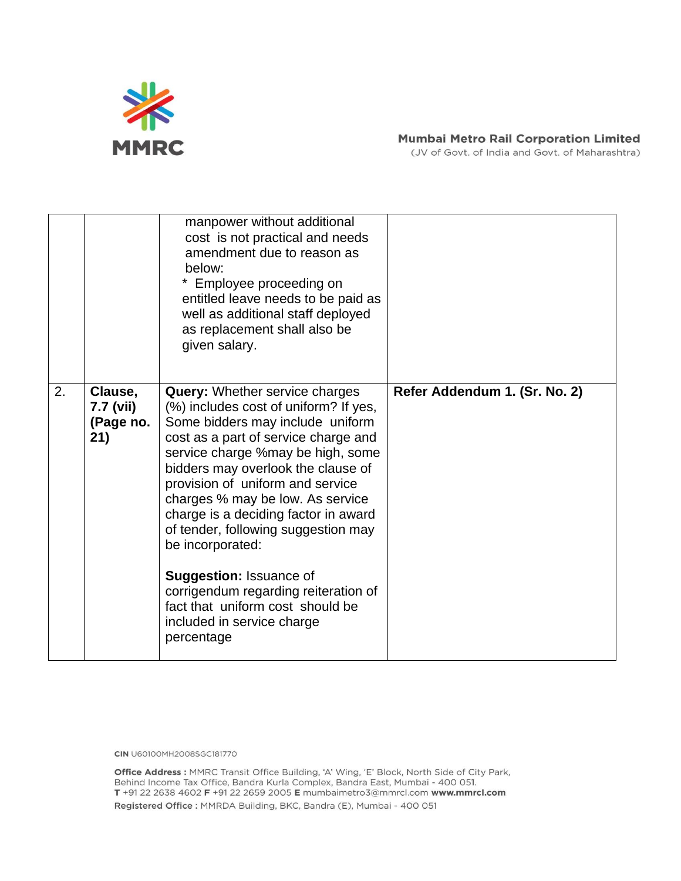

## **Mumbai Metro Rail Corporation Limited**

(JV of Govt. of India and Govt. of Maharashtra)

|    |                                          | manpower without additional<br>cost is not practical and needs<br>amendment due to reason as<br>below:<br>Employee proceeding on<br>entitled leave needs to be paid as<br>well as additional staff deployed<br>as replacement shall also be<br>given salary.                                                                                                                                                                                                                                                                                                               |                               |
|----|------------------------------------------|----------------------------------------------------------------------------------------------------------------------------------------------------------------------------------------------------------------------------------------------------------------------------------------------------------------------------------------------------------------------------------------------------------------------------------------------------------------------------------------------------------------------------------------------------------------------------|-------------------------------|
| 2. | Clause,<br>7.7 (vii)<br>(Page no.<br>21) | <b>Query:</b> Whether service charges<br>(%) includes cost of uniform? If yes,<br>Some bidders may include uniform<br>cost as a part of service charge and<br>service charge %may be high, some<br>bidders may overlook the clause of<br>provision of uniform and service<br>charges % may be low. As service<br>charge is a deciding factor in award<br>of tender, following suggestion may<br>be incorporated:<br><b>Suggestion: Issuance of</b><br>corrigendum regarding reiteration of<br>fact that uniform cost should be<br>included in service charge<br>percentage | Refer Addendum 1. (Sr. No. 2) |

**CIN** U60100MH2008SGC181770

Office Address : MMRC Transit Office Building, 'A' Wing, 'E' Block, North Side of City Park, Behind Income Tax Office, Bandra Kurla Complex, Bandra East, Mumbai - 400 051. T +91 22 2638 4602 F +91 22 2659 2005 E mumbaimetro3@mmrcl.com www.mmrcl.com Registered Office : MMRDA Building, BKC, Bandra (E), Mumbai - 400 051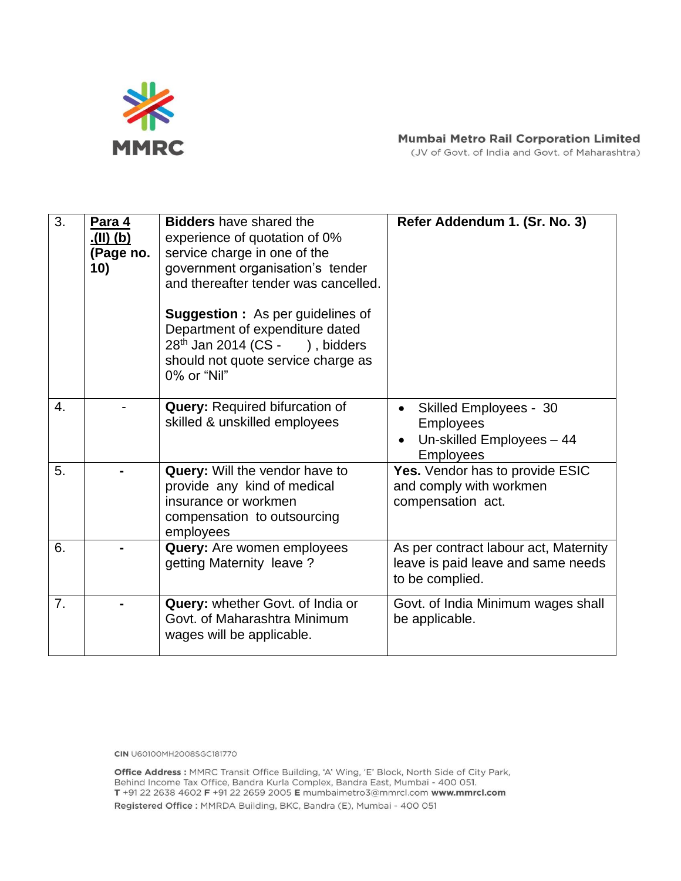

#### **Mumbai Metro Rail Corporation Limited**

(JV of Govt. of India and Govt. of Maharashtra)

| 3. | Para 4<br><u>(d) (ll).</u><br>(Page no.<br>10) | <b>Bidders</b> have shared the<br>experience of quotation of 0%<br>service charge in one of the<br>government organisation's tender<br>and thereafter tender was cancelled.<br><b>Suggestion:</b> As per guidelines of<br>Department of expenditure dated<br>$28th$ Jan 2014 (CS - ), bidders<br>should not quote service charge as<br>0% or "Nil" | Refer Addendum 1. (Sr. No. 3)                                                                                   |
|----|------------------------------------------------|----------------------------------------------------------------------------------------------------------------------------------------------------------------------------------------------------------------------------------------------------------------------------------------------------------------------------------------------------|-----------------------------------------------------------------------------------------------------------------|
| 4. |                                                | <b>Query: Required bifurcation of</b><br>skilled & unskilled employees                                                                                                                                                                                                                                                                             | <b>Skilled Employees - 30</b><br>$\bullet$<br><b>Employees</b><br>Un-skilled Employees - 44<br><b>Employees</b> |
| 5. |                                                | Query: Will the vendor have to<br>provide any kind of medical<br>insurance or workmen<br>compensation to outsourcing<br>employees                                                                                                                                                                                                                  | Yes. Vendor has to provide ESIC<br>and comply with workmen<br>compensation act.                                 |
| 6. |                                                | Query: Are women employees<br>getting Maternity leave?                                                                                                                                                                                                                                                                                             | As per contract labour act, Maternity<br>leave is paid leave and same needs<br>to be complied.                  |
| 7. |                                                | Query: whether Govt. of India or<br>Govt. of Maharashtra Minimum<br>wages will be applicable.                                                                                                                                                                                                                                                      | Govt. of India Minimum wages shall<br>be applicable.                                                            |

**CIN** U60100MH2008SGC181770

Office Address : MMRC Transit Office Building, 'A' Wing, 'E' Block, North Side of City Park, Behind Income Tax Office, Bandra Kurla Complex, Bandra East, Mumbai - 400 051. T +91 22 2638 4602 F +91 22 2659 2005 E mumbaimetro3@mmrcl.com www.mmrcl.com Registered Office : MMRDA Building, BKC, Bandra (E), Mumbai - 400 051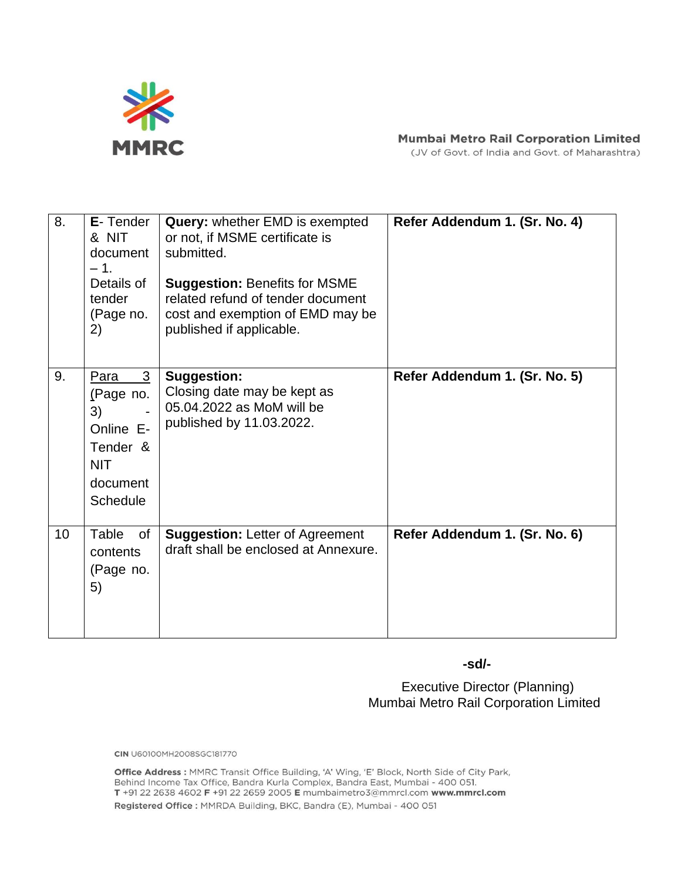

#### **Mumbai Metro Rail Corporation Limited**

(JV of Govt. of India and Govt. of Maharashtra)

| 8. | E-Tender<br>& NIT<br>document<br>$-1.$<br>Details of<br>tender<br>(Page no.<br>2)           | Query: whether EMD is exempted<br>or not, if MSME certificate is<br>submitted.<br><b>Suggestion: Benefits for MSME</b><br>related refund of tender document<br>cost and exemption of EMD may be<br>published if applicable. | Refer Addendum 1. (Sr. No. 4) |
|----|---------------------------------------------------------------------------------------------|-----------------------------------------------------------------------------------------------------------------------------------------------------------------------------------------------------------------------------|-------------------------------|
| 9. | 3<br>Para<br>(Page no.<br>3)<br>Online E-<br>Tender &<br><b>NIT</b><br>document<br>Schedule | <b>Suggestion:</b><br>Closing date may be kept as<br>05.04.2022 as MoM will be<br>published by 11.03.2022.                                                                                                                  | Refer Addendum 1. (Sr. No. 5) |
| 10 | Table<br>of<br>contents<br>(Page no.<br>5)                                                  | <b>Suggestion: Letter of Agreement</b><br>draft shall be enclosed at Annexure.                                                                                                                                              | Refer Addendum 1. (Sr. No. 6) |

 **-sd/-**

**Executive Director (Planning)** Mumbai Metro Rail Corporation Limited

**CIN** U60100MH2008SGC181770

Office Address : MMRC Transit Office Building, 'A' Wing, 'E' Block, North Side of City Park, Behind Income Tax Office, Bandra Kurla Complex, Bandra East, Mumbai - 400 051. T +91 22 2638 4602 F +91 22 2659 2005 E mumbaimetro3@mmrcl.com www.mmrcl.com Registered Office : MMRDA Building, BKC, Bandra (E), Mumbai - 400 051